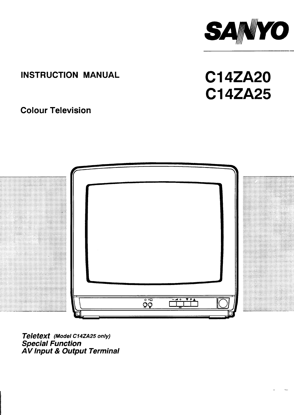

# **INSTRUCTION MANUAL**

**Cl 4ZA20** Cl **4ZA25**

# **Colour Television**



**Teletext (Model C14ZA25 only) Special Function A V Input & Output Terminal**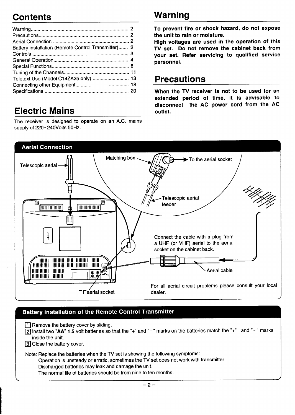# **Contents Warning**

| Battery installation (Remote Control Transmitter) 2 |  |
|-----------------------------------------------------|--|
|                                                     |  |
|                                                     |  |
|                                                     |  |
|                                                     |  |
|                                                     |  |
|                                                     |  |
|                                                     |  |

# **Electric Mains**

The receiver is designed to operate on an A.C. mains **Sllppiy Of** 220- **2@vOltS** 50 Hz.

**To prevent fire or shock hazard, do not expose the unit to rain or moisture.**

**High voltages are used in the operation of this TV set. Do not remove the cabinet back from your set. Refer servicing to qualified service personnel.**

# **Precautions**

**When the TV receiver is not to be used for an extended period of time, it is advisabie to disconnect the AC power cord from the AC outlet.**



# **Battery installation of the Remote Control Transmitter**

1 Remove the battery cover by sliding.

❑ Install two **"AA 1.5** volt batteries so that the "+" and"-" marks on the batteries match the "+" and "-" marks inside the unit.

3 Close the battery cover.

**I**

Note: Replace the batteries when the TV set is showing the following symptoms:

Operation is unsteady or erratic, sometimes the TV set does not work with transmitter.

Discharged batteries may leak and damage the unit

The normal life of batteries should be from nine to ten months.

 $-2-$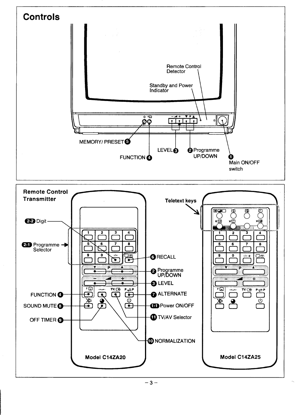<span id="page-2-0"></span>

 $-3-$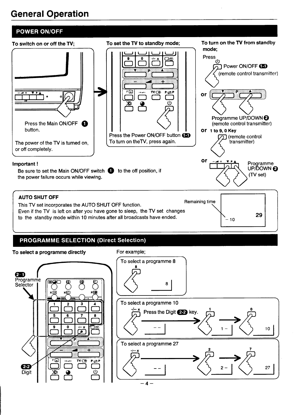# <span id="page-3-0"></span>**General Operation**

# **POWER ON/OFF**



# **PROGRAMME SELECTION (Direct Selection)**

#### **To** select a programme directly For example; To select a programme 8 **m** Programme 夏 eø ◐ 8 **Selector** ≭∉য To select a programme 10  $\overline{\mathbf{3}}$ -<u>/-- \*</u> Press the Digit 2-2 key. **,6** 6 8 5 g  $\mathbf 0$ -/− \* ٦Ŧ  $10$ **6**  $\overline{\phantom{a}}$ To select a programme 27 Ŧ  $\overbrace{\qquad \qquad }^{--} \overbrace{\qquad \qquad }^{--} \overbrace{\qquad \qquad }^{2} \overbrace{\qquad \qquad }^{2} \overbrace{\qquad \qquad }^{2} \overbrace{\qquad \qquad }^{2} \overbrace{\qquad \qquad }^{2}$ -/--\*  $\bigotimes_{-4}^{2}$ / ⊧⊡  $TV / \bigoplus$  $P \rightleftharpoons P$  $2-2$ <sup>-</sup> **Digit**  $\overline{\mathbb{O}}$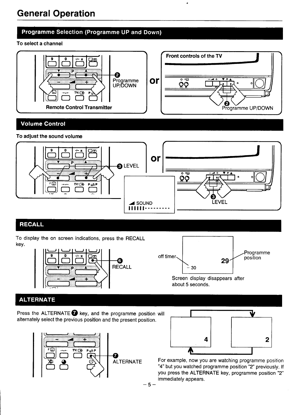### Programme Selection (Programme UP and Down)

#### To select a channel



### **Volume Control**

### To adjust the sound volume



# **RECALL**

To display the on screen indications, press the RECALL key.





# **ALTERNATE**

Press the ALTERNATE  $\bigcirc$  key, and the programme position will alternately select the previous position and the present position.





For example, now you are watching programme position "4" but you watched programme position "2" previously. If you press the ALTERNATE key, programme position "2" immediately appears.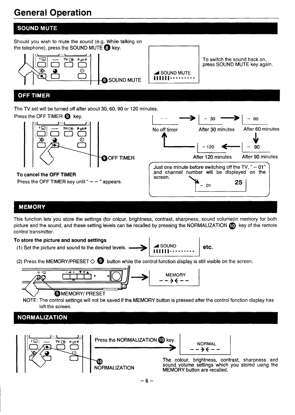# **General Operation**

# **SOUND MUTE**

Should you wish to mute the sound (e.g. While talking on the telephone), press the SOUND MUTE  $\odot$  key.  $\sim$ To switch the sound back on, **™**கு press SOUND MUTE key again. Q 'Om 'g ⋙ **4 SOUND MUTE** 111111 --------- **@SOUND MUTE** 

# **OFF TIMER**

The TV set will be turned off after about 30, 60, 90 or 120 minutes



# **MEMORY**

This function lets you store the settings (for colour, brightness, contrast, sharpness, sound volume)in memory for both picture and the sound, and these setting levels can be recalled by pressing the NORMALIZATION  $\Box$  key of the remote control transmitter.

### **To store the picture and sound settings**

(1) Set the picture and sound to the desired levels.



(2) Press the MEMORY/PRESET  $\diamondsuit$   $\bullet$  button while the control function display is still visible on the screen,



NOTE: The control settings will not be saved if the MEMORY button is pressed after the control function display has left the screen.

# **NORMALIZATION**

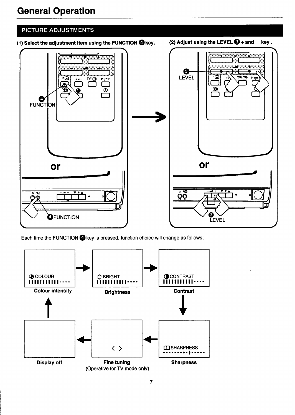# **PICTURE ADJUSTMENTS**

- (1) Select the adjustment item using the FUNCTION @ key.
- (2) Adjust using the LEVEL  $\bigotimes$  + and key.



Each time the FUNCTION C key is pressed, function choice will change as follows;

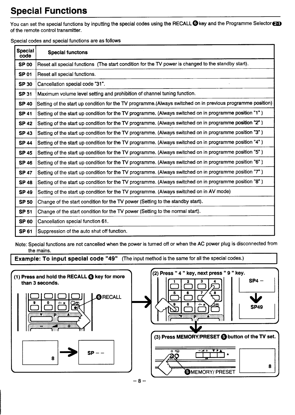# <span id="page-7-0"></span>**Special Functions**

You can set the special functions by inputting the special codes using the RECALL **O** key and the Programme Selector<sup>23</sup> of the remote control transmitter.

Special codes and special functions are as follows

| <b>Special</b><br>code | <b>Special functons</b>                                                                                     |
|------------------------|-------------------------------------------------------------------------------------------------------------|
| <b>SP 00</b>           | Reset all special functions (The start condition for the TV power is changed to the standby start).         |
| <b>SP 01</b>           | Reset all special functions.                                                                                |
| <b>SP 30</b>           | Cancellation special code "31".                                                                             |
| <b>SP 31</b>           | Maximum volume level setting and prohibition of channel tuning function.                                    |
| <b>SP 40</b>           | Setting of the start up condition for the TV programme. (Always switched on in previous programme position) |
| <b>SP 41</b>           | Setting of the start up condition for the TV programme. (Always switched on in programme position "1")      |
| <b>SP 42</b>           | Setting of the start up condition for the TV programme. (Always switched on in programme position "2")      |
| <b>SP 43</b>           | Setting of the start up condition for the TV programme. (Always switched on in programme position "3")      |
| <b>SP 44</b>           | Setting of the start up condition for the TV programme. (Always switched on in programme position "4")      |
| <b>SP 45</b>           | Setting of the start up condition for the TV programme. (Always switched on in programme position "5")      |
| <b>SP 46</b>           | Setting of the start up condition for the TV programme. (Always switched on in programme position "6")      |
| <b>SP 47</b>           | Setting of the start up condition for the TV programme. (Always switched on in programme position "7")      |
| <b>SP 48</b>           | Setting of the start up condition for the TV programme. (Always switched on in programme position "8")      |
| <b>SP 49</b>           | Setting of the start up condition for the TV programme. (Always switched on in AV mode)                     |
| <b>SP 50</b>           | Change of the start condition for the TV power (Setting to the standby start).                              |
| <b>SP 51</b>           | Change of the start condition for the TV power (Setting to the normal start).                               |
| <b>SP 60</b>           | Cancellation special function 61.                                                                           |
| <b>SP 61</b>           | Suppression of the auto shut off function.                                                                  |

Note: Special functions are not cancelled when the power is turned off or when the AC power plug is disconnected from the mains.

**Example: To input special code "49"** (The input method is the same for all the special codes.) <sup>I</sup>

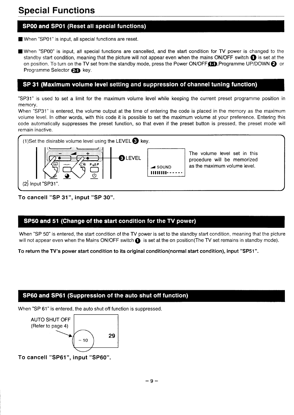# SP00 and SP01 (Reset all special functions)

■ When "SP01" is input, all special functions are reset.

9 When "SPOO" is input, all special functions are cancelled, and the start condition for TV power is changed to the standby start condition, meaning that the picture will not appear even when the mains ON/OFF switch  $\bullet$  is set at the on position. To turn on the TV set from the standby mode, press the Power ON/OFF $\Box$ ,Programme UP/DOWN  $\odot$  or Programme Selector **25** key.

### SP 31 (Maximum volume level setting and suppression of channel tuning function)

"SP31" is used to set a limit for the maximum volume level while keeping the current preset programme position in memory.

When "SP31" is entered, the volume output at the time of entering the code is placed in the memory as the maximum volume level. In other words, with this code it is possible to set the maximum volume at your preference. Entering this code automatically suppresses the preset function, so that even if the preset button is pressed, the preset mode will remain inactive,



To **cancell "SP 31", input "SP 30".**

### SP50 and 51 (Change of the start condition for the TV power)

When "SP 50" is entered, the start condition of the TV power is set to the standby start condition, meaning that the picture will not appear even when the Mains ON/OFF switch  $\bigcirc$  is set at the on position(The TV set remains in standby mode).

**To return the TV's power start condition to its original condition(normal start condition), input** "SP51".

### SP60 and SP61 (Suppression of the auto shut off function)

When "SP 61" is entered, the auto shut off function is suppressed.



To **cancell "SP61", input "SP60".**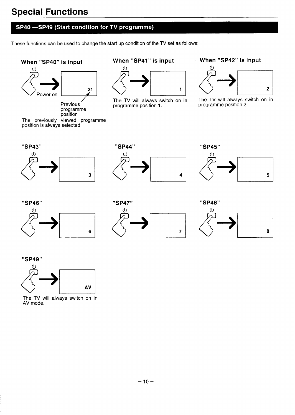# **Special Functions**

# SP40 -SP49 (Start condition for TV programme)

These functions can be used to change the start up condition of the TV set as follows;

# When "SP40" is input



Previous programme<br>position

The previously viewed programme<br>position is always selected.

### When "SP41" is input



The TV will always switch on in programme position 1.

### When "SP42" is input



The TV will always switch on in programme position 2.





"SP45" 5





|  | "SP48" |  |
|--|--------|--|
|  |        |  |



#### "SP49"



The TV will always switch on in AV mode.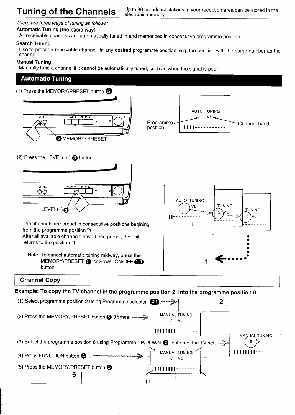#### <span id="page-10-0"></span>There are three ways of tuning as follows;

#### **Automatic Tuning (the basic way)**

All receivable channels are automatically tuned in and memorized in consecutive programme position.

#### Search Tuning

Use to preset a receivable channel in any desired programme position, e.g. the position with the same number as the channel.

#### **Manual Tuning**

Manually tune a channel if it cannot be automatically tuned, such as when the signal is poor.

### **Automatic Tuning**

(1) Press the MEMORY/PRESET button  $\bigodot$ .





(2) Press the LEVEL $(+)$   $\bigodot$  button.



The channels are preset in consecutive positions begining from the programme position "1".

After all available channels have been preset, the unit returns to the position "1".





### **Channel Copy**

**Example: To copy the TV channel in the programme position 2 into the programme position 6**

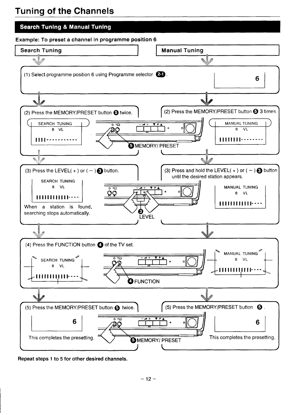# **Tuning of the Channels**

# **Search Tuning & Manual Tuning**

**Example: To preset a channel in programme position 6**



**Repeat steps** 1 to 5 **for other desired channels.**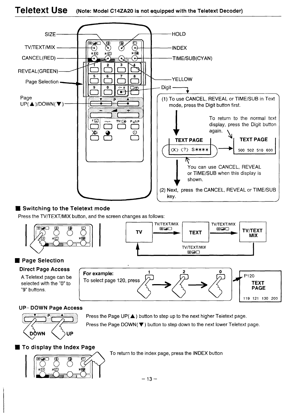#### <span id="page-12-0"></span>**Teletext Use** (Note: Model C14ZA20 is not equipped with the Teletext Decoder)



### **Switching to the Teletext mode**

Press the TV/TEXT/MIX button, and the screen changes as follows:





### Page Selection

# **Direct Page Access**

A Teletext page can be selected with the "0" to "9" buttons.



### **UP-DOWN Page Access**



Press the Page UP( $\triangle$ ) button to step up to the next higher Teletext page. Press the Page DOWN(▼) button to step down to the next lower Teletext page.

To display the Index Page



To return to the index page, press the INDEX button

 $-13-$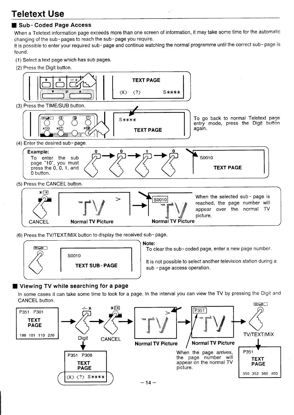# ■ **Sub- Coded Page Access**

When a Teletext information page exceeds more than one screen of information, it may take some time for the automatic changing of the sub- pages to reach the sub- page you require.

it is possible to enter your required sub- page and continue watching the normal programme until the correct sub- page is found.

- (1) Select a text page which has sub pages.
- (2) Press the Digit button.



(6) Press the TV/TEXT/MIX button to display the received sub-page.



### **Note:**

To clear the sub- coded page, enter a new page number.

It is not possible to select another television station during a sub - page access operation.

# **9 Viewing TV while searching for a page**

In some cases it can take some time to look for a page. In the interval you can view the TV by pressing the Digit and CANCEL button.

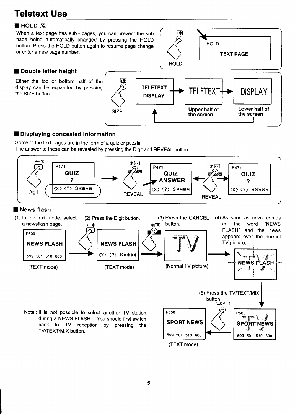# **N** HOLD **B**

When a text page has sub- pages, you can prevent the sub page being automatically changed by pressing the HOLD button. Press the HOLD button again to resume page change or enter a new page number.



# ■ Double letter height

Either the top or bottom half of the display can be expanded by pressing the SIZE button.



## ■ **Displaying concealed information**

Some of the text pages are in the form of a quiz or puzzle. The answer to these can be revealed by pressing the Digit and REVEAL button.



### ■ **News flash**



Note : It is not possible to select another TV station during a NEWS FLASH. You should first switch back to TV reception by pressing the TV/TEXT/MIX button.

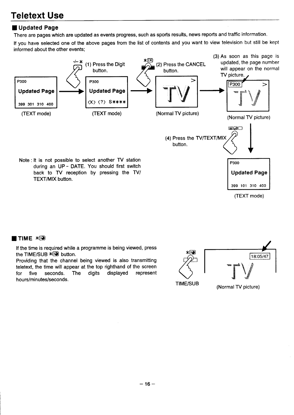# **HUpdated Page**

There are pages which are updated as events progress, such as sports results, news reports and traffic information.

If you have selected one of the above pages from the list of contents and you want to view television but still be kep informed about the other events;



(TEXT mode)

### **ETIME**  $*$  $\odot$

If the time is required while a programme is being viewed, press the TIME/SUB  $* \circled{=}$  button.

Providing that the channel being viewed is also transmitting teletext, the time will appear at the top righthand of the screen for five seconds. The digits displayed represent hours/minutes/seconds.

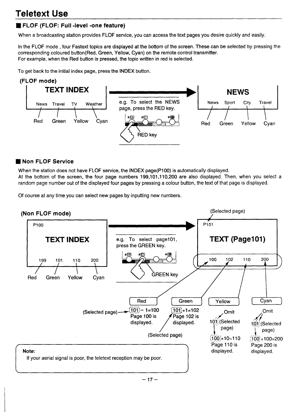# ■ **FLOF (FLOF: Full -level -one feature)**

When a broadcasting station provides FLOF service, you can access the text pages you desire quickly and easily.

In the FLOF mode , four Fastext topics are displayed at the bottom of the screen. These can be selected by pressing the corresponding coloured button(Red, Green, Yellow; Cyan) on the remote control transmitter. For example, when the Red button is pressed, the topic written in red is selected.

To get back to the initial index page, press the INDEX button.



### ■ **Non FLOF Service**

When the station does not have FLOF service, the INDEX page(P100) is automatically displayed.

At the bottom of the screen, the four page numbers 199,101,110,200 are also displayed. Then, when you select a random page number out of the displayed four pages by pressing a colour button, the text of that page is displayed.

Of course at any time you can select new pages by inputting new numbers.

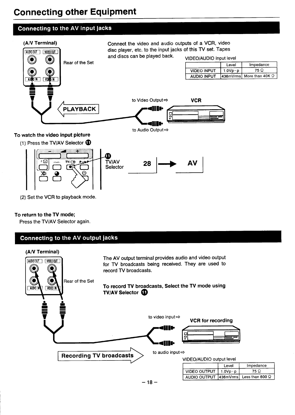# <span id="page-17-0"></span>**Connecting other Equipment** . .

## **Connecting to the AV input jacks**



### **To return to the TV mode;**

Press the TV/AV Selector again.

# Connecting to the AV output jacks

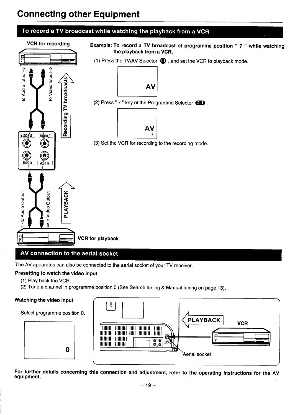# **Connecting other Equipment**



The AV apparatus can also be connected to the aerial socket of your TV receiver.

### Presetting **to watch the video input**

- (1) Play back the VCR.
- (2) Tune a channel in programme position O (See Search tuning & Manual tuning on page 13).

#### Watching the video input /

 $\begin{array}{c|c}\n\text{Select programme position 0.} & \quad \text{ }\end{array}$ 





**For further details concerning this connection and adjustment, refer to the operating instructions for the AV equipment.**